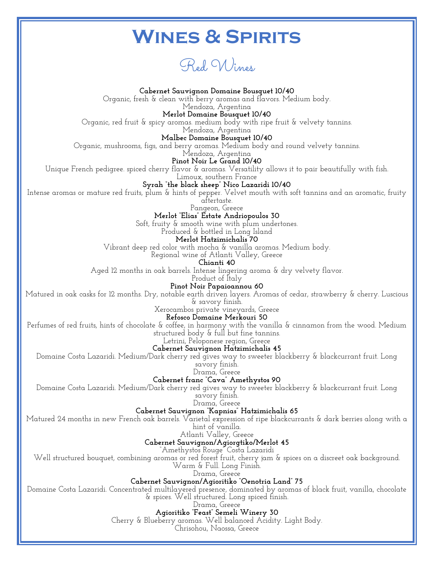

## Red Wines

**Cabernet Sauvignon Domaine Bousquet 10/40**

Organic, fresh & clean with berry aromas and flavors. Medium body.

Mendoza, Argentina **Merlot Domaine Bousquet 10/40**

Organic, red fruit & spicy aromas. medium body with ripe fruit & velvety tannins.

Mendoza, Argentina

**Malbec Domaine Bousquet 10/40**

Organic, mushrooms, figs, and berry aromas. Medium body and round velvety tannins.

Mendoza, Argentina

**Pinot Noir Le Grand 10/40**

Unique French pedigree. spiced cherry flavor & aromas. Versatility allows it to pair beautifully with fish.

Limoux, southern France

**Syrah "the black sheep" Nico Lazaridi 10/40**

Intense aromas or mature red fruits, plum & hints of pepper. Velvet mouth with soft tannins and an aromatic, fruity aftertaste.

Pangeon, Greece **Merlot "Elias" Estate Andriopoulos 30**

Soft, fruity & smooth wine with plum undertones.

Produced & bottled in Long Island

**Merlot Hatzimichalis 70**

Vibrant deep red color with mocha & vanilla aromas. Medium body.

Regional wine of Atlanti Valley, Greece

**Chianti 40**

Aged 12 months in oak barrels. Intense lingering aroma & dry velvety flavor.

Product of Italy **Pinot Noir Papaioannou 60**

Matured in oak casks for 12 months. Dry, notable earth driven layers. Aromas of cedar, strawberry & cherry. Luscious

& savory finish.

Xerocambos private vineyards, Greece

**Refosco Domaine Merkouri 50**

Perfumes of red fruits, hints of chocolate & coffee, in harmony with the vanilla & cinnamon from the wood. Medium structured body & full but fine tannins.

Letrini, Peloponese region, Greece

### **Cabernet Sauvignon Hatzimichalis 45**

Domaine Costa Lazaridi. Medium/Dark cherry red gives way to sweeter blackberry & blackcurrant fruit. Long savory finish.

Drama, Greece

**Cabernet franc "Cava" Amethystos 90**

Domaine Costa Lazaridi. Medium/Dark cherry red gives way to sweeter blackberry & blackcurrant fruit. Long

savory finish.

Drama, Greece

**Cabernet Sauvignon "Kapnias" Hatzimichalis 65**

Matured 24 months in new French oak barrels. Varietal expression of ripe blackcurrants & dark berries along with a

hint of vanilla.

Atlanti Valley, Greece

**Cabernet Sauvignon/Agiorgtiko/Merlot 45**

"Amethystos Rouge" Costa Lazaridi

Well structured bouquet, combining aromas or red forest fruit, cherry jam & spices on a discreet oak background.

Warm & Full. Long Finish.

Drama, Greece

**Cabernet Sauvignon/Agioritiko "Oenotria Land" 75**

Domaine Costa Lazaridi. Concentrated multilayered presence, dominated by aromas of black fruit, vanilla, chocolate & spices. Well structured. Long spiced finish.

Drama, Greece

**Agioritiko "Feast" Semeli Winery 30**

Cherry & Blueberry aromas. Well balanced Acidity. Light Body.

Chrisohou, Naossa, Greece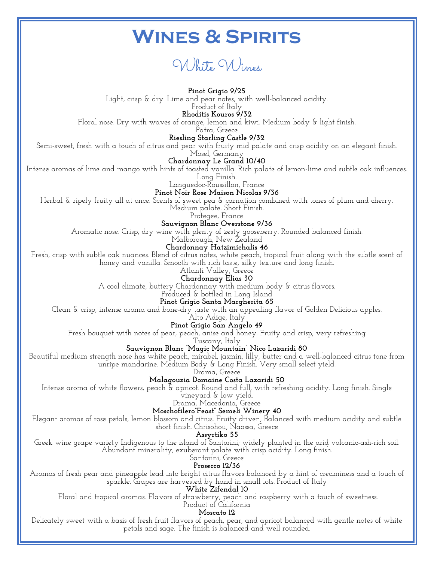



**Pinot Grigio 9/25** Light, crisp & dry. Lime and pear notes, with well-balanced acidity. Product of Italy

**Rhoditis Kouros 9/32**

Floral nose. Dry with waves of orange, lemon and kiwi. Medium body & light finish.

Patra, Greece

**Riesling Starling Castle 9/32**

Semi-sweet, fresh with a touch of citrus and pear with fruity mid palate and crisp acidity on an elegant finish.

Mosel, Germany

## **Chardonnay Le Grand 10/40**

Intense aromas of lime and mango with hints of toasted vanilla. Rich palate of lemon-lime and subtle oak influences.

Long Finish.

Languedoc-Roussillon, France

## **Pinot Noir Rose Maison Nicolas 9/36**

Herbal & ripely fruity all at once. Scents of sweet pea & carnation combined with tones of plum and cherry.

Medium palate. Short Finish. Protegee, France

**Sauvignon Blanc Overstone 9/36**

Aromatic nose. Crisp, dry wine with plenty of zesty gooseberry. Rounded balanced finish.

Malborough, New Zealand

**Chardonnay Hatzimichalis 46**

Fresh, crisp with subtle oak nuances. Blend of citrus notes, white peach, tropical fruit along with the subtle scent of honey and vanilla. Smooth with rich taste, silky texture and long finish.

Atlanti Valley, Greece **Chardonnay Elias 30**

A cool climate, buttery Chardonnay with medium body & citrus flavors.

Produced & bottled in Long Island

## **Pinot Grigio Santa Margherita 65**

Clean & crisp, intense aroma and bone-dry taste with an appealing flavor of Golden Delicious apples.

Alto Adige, Italy

#### **Pinot Grigio San Angelo 49**

Fresh bouquet with notes of pear, peach, anise and honey. Fruity and crisp, very refreshing

Tuscany, Italy

**Sauvignon Blanc "Magic Mountain" Nico Lazaridi 80**

Beautiful medium strength nose has white peach, mirabel, jasmin, lilly, butter and a well-balanced citrus tone from unripe mandarine. Medium Body & Long Finish. Very small select yield.

Drama, Greece

#### **Malagouzia Domaine Costa Lazaridi 50**

Intense aroma of white flowers, peach & apricot. Round and full, with refreshing acidity. Long finish. Single

vineyard & low yield.

Drama, Macedonia, Greece **Moschofilero"Feast" Semeli Winery 40**

Elegant aromas of rose petals, lemon blossom and citrus. Fruity driven, Balanced with medium acidity and subtle

short finish. Chrisohou, Naossa, Greece

**Assyrtiko 55**

Greek wine grape variety Indigenous to the island of Santorini; widely planted in the arid volcanic-ash-rich soil. Abundant minerality, exuberant palate with crisp acidity. Long finish.

Santorini, Greece **Prosecco 12/36**

Aromas of fresh pear and pineapple lead into bright citrus flavors balanced by a hint of creaminess and a touch of sparkle. Grapes are harvested by hand in small lots. Product of Italy

#### **White Zifendal 10**

Floral and tropical aromas. Flavors of strawberry, peach and raspberry with a touch of sweetness.

#### Product of California **Moscato 12**

Delicately sweet with a basis of fresh fruit flavors of peach, pear, and apricot balanced with gentle notes of white petals and sage. The finish is balanced and well rounded.